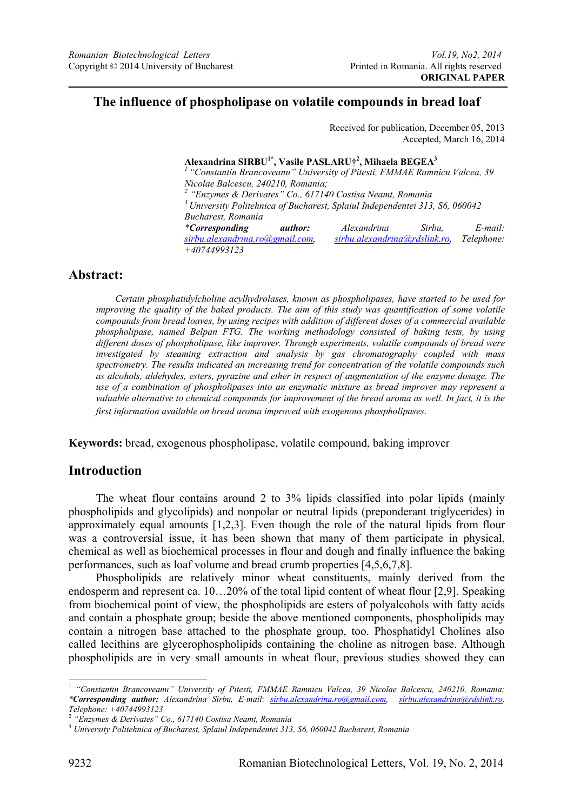# **The influence of phospholipase on volatile compounds in bread loaf**

Received for publication, December 05, 2013 Accepted, March 16, 2014

**Alexandrina SIRBU1\*, Vasile PASLARU†2 , Mihaela BEGEA<sup>3</sup>**

*1 "Constantin Brancoveanu" University of Pitesti, FMMAE Ramnicu Valcea, 39 Nicolae Balcescu, 240210, Romania;*  <sup>2</sup> "Enzymes & Derivates" Co., 617140 Costisa Neamt, Romania  *"Enzymes & Derivates" Co., 617140 Costisa Neamt, Romania 3 University Politehnica of Bucharest, Splaiul Independentei 313, S6, 060042 Bucharest, Romania \*Corresponding author: Alexandrina Sirbu, E-mail: sirbu.alexandrina.ro@gmail.com, sirbu.alexandrina@rdslink.ro, Telephone:* 

# **Abstract:**

 *Certain phosphatidylcholine acylhydrolases, known as phospholipases, have started to be used for improving the quality of the baked products. The aim of this study was quantification of some volatile compounds from bread loaves, by using recipes with addition of different doses of a commercial available phospholipase, named Belpan FTG. The working methodology consisted of baking tests, by using different doses of phospholipase, like improver. Through experiments, volatile compounds of bread were investigated by steaming extraction and analysis by gas chromatography coupled with mass spectrometry. The results indicated an increasing trend for concentration of the volatile compounds such as alcohols, aldehydes, esters, pyrazine and ether in respect of augmentation of the enzyme dosage. The use of a combination of phospholipases into an enzymatic mixture as bread improver may represent a valuable alternative to chemical compounds for improvement of the bread aroma as well. In fact, it is the first information available on bread aroma improved with exogenous phospholipases.* 

**Keywords:** bread, exogenous phospholipase, volatile compound, baking improver

*+40744993123* 

## **Introduction**

The wheat flour contains around 2 to 3% lipids classified into polar lipids (mainly phospholipids and glycolipids) and nonpolar or neutral lipids (preponderant triglycerides) in approximately equal amounts [1,2,3]. Even though the role of the natural lipids from flour was a controversial issue, it has been shown that many of them participate in physical, chemical as well as biochemical processes in flour and dough and finally influence the baking performances, such as loaf volume and bread crumb properties [4,5,6,7,8].

Phospholipids are relatively minor wheat constituents, mainly derived from the endosperm and represent ca. 10…20% of the total lipid content of wheat flour [2,9]. Speaking from biochemical point of view, the phospholipids are esters of polyalcohols with fatty acids and contain a phosphate group; beside the above mentioned components, phospholipids may contain a nitrogen base attached to the phosphate group, too. Phosphatidyl Cholines also called lecithins are glycerophospholipids containing the choline as nitrogen base. Although phospholipids are in very small amounts in wheat flour, previous studies showed they can

 $\overline{a}$ 

<sup>1</sup> *"Constantin Brancoveanu" University of Pitesti, FMMAE Ramnicu Valcea, 39 Nicolae Balcescu, 240210, Romania; \*Corresponding author: Alexandrina Sirbu, E-mail: sirbu.alexandrina.ro@gmail.com, sirbu.alexandrina@rdslink.ro, Telephone: +40744993123* 

<sup>&</sup>lt;sup>3</sup> University Politehnica of Bucharest, Splaiul Independentei 313, S6, 060042 Bucharest, Romania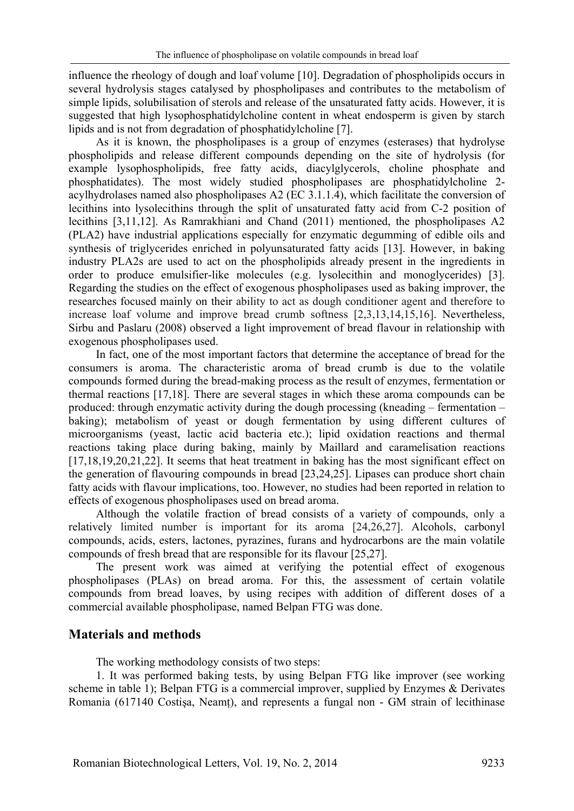influence the rheology of dough and loaf volume [10]. Degradation of phospholipids occurs in several hydrolysis stages catalysed by phospholipases and contributes to the metabolism of simple lipids, solubilisation of sterols and release of the unsaturated fatty acids. However, it is suggested that high lysophosphatidylcholine content in wheat endosperm is given by starch lipids and is not from degradation of phosphatidylcholine [7].

As it is known, the phospholipases is a group of enzymes (esterases) that hydrolyse phospholipids and release different compounds depending on the site of hydrolysis (for example lysophospholipids, free fatty acids, diacylglycerols, choline phosphate and phosphatidates). The most widely studied phospholipases are phosphatidylcholine 2 acylhydrolases named also phospholipases A2 (EC 3.1.1.4), which facilitate the conversion of lecithins into lysolecithins through the split of unsaturated fatty acid from C-2 position of lecithins [3,11,12]. As Ramrakhiani and Chand (2011) mentioned, the phospholipases A2 (PLA2) have industrial applications especially for enzymatic degumming of edible oils and synthesis of triglycerides enriched in polyunsaturated fatty acids [13]. However, in baking industry PLA2s are used to act on the phospholipids already present in the ingredients in order to produce emulsifier-like molecules (e.g. lysolecithin and monoglycerides) [3]. Regarding the studies on the effect of exogenous phospholipases used as baking improver, the researches focused mainly on their ability to act as dough conditioner agent and therefore to increase loaf volume and improve bread crumb softness [2,3,13,14,15,16]. Nevertheless, Sirbu and Paslaru (2008) observed a light improvement of bread flavour in relationship with exogenous phospholipases used.

In fact, one of the most important factors that determine the acceptance of bread for the consumers is aroma. The characteristic aroma of bread crumb is due to the volatile compounds formed during the bread-making process as the result of enzymes, fermentation or thermal reactions [17,18]. There are several stages in which these aroma compounds can be produced: through enzymatic activity during the dough processing (kneading – fermentation – baking); metabolism of yeast or dough fermentation by using different cultures of microorganisms (yeast, lactic acid bacteria etc.); lipid oxidation reactions and thermal reactions taking place during baking, mainly by Maillard and caramelisation reactions [17,18,19,20,21,22]. It seems that heat treatment in baking has the most significant effect on the generation of flavouring compounds in bread [23,24,25]. Lipases can produce short chain fatty acids with flavour implications, too. However, no studies had been reported in relation to effects of exogenous phospholipases used on bread aroma.

Although the volatile fraction of bread consists of a variety of compounds, only a relatively limited number is important for its aroma [24,26,27]. Alcohols, carbonyl compounds, acids, esters, lactones, pyrazines, furans and hydrocarbons are the main volatile compounds of fresh bread that are responsible for its flavour [25,27].

The present work was aimed at verifying the potential effect of exogenous phospholipases (PLAs) on bread aroma. For this, the assessment of certain volatile compounds from bread loaves, by using recipes with addition of different doses of a commercial available phospholipase, named Belpan FTG was done.

#### **Materials and methods**

The working methodology consists of two steps:

1. It was performed baking tests, by using Belpan FTG like improver (see working scheme in table 1); Belpan FTG is a commercial improver, supplied by Enzymes & Derivates Romania (617140 Costisa, Neamt), and represents a fungal non - GM strain of lecithinase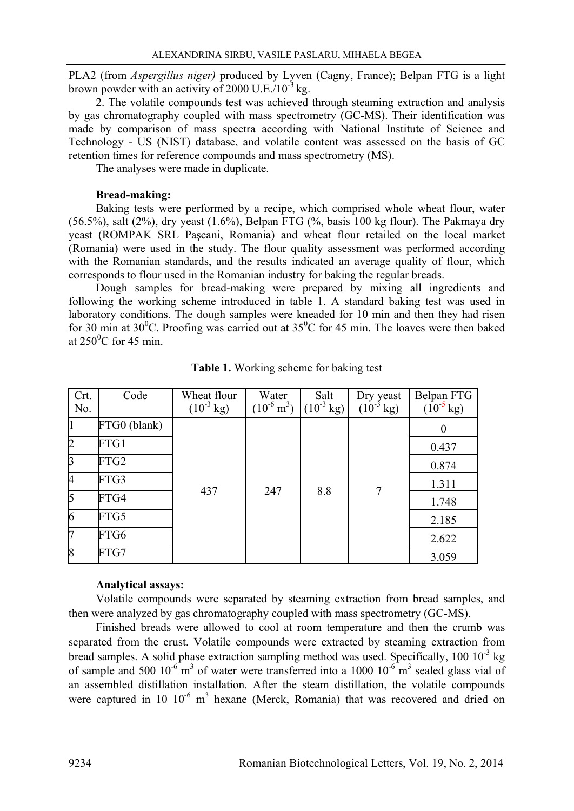PLA2 (from *Aspergillus niger)* produced by Lyven (Cagny, France); Belpan FTG is a light brown powder with an activity of 2000 U.E./ $10^{-3}$  kg.

2. The volatile compounds test was achieved through steaming extraction and analysis by gas chromatography coupled with mass spectrometry (GC-MS). Their identification was made by comparison of mass spectra according with National Institute of Science and Technology - US (NIST) database, and volatile content was assessed on the basis of GC retention times for reference compounds and mass spectrometry (MS).

The analyses were made in duplicate.

### **Bread-making:**

Baking tests were performed by a recipe, which comprised whole wheat flour, water (56.5%), salt (2%), dry yeast (1.6%), Belpan FTG (%, basis 100 kg flour). The Pakmaya dry yeast (ROMPAK SRL Paşcani, Romania) and wheat flour retailed on the local market (Romania) were used in the study. The flour quality assessment was performed according with the Romanian standards, and the results indicated an average quality of flour, which corresponds to flour used in the Romanian industry for baking the regular breads.

Dough samples for bread-making were prepared by mixing all ingredients and following the working scheme introduced in table 1. A standard baking test was used in laboratory conditions. The dough samples were kneaded for 10 min and then they had risen for 30 min at 30<sup>o</sup>C. Proofing was carried out at  $35^{\circ}$ C for 45 min. The loaves were then baked at  $250^0$ C for 45 min.

| Crt.<br>No. | Code         | Wheat flour<br>$(10^{-3} \text{ kg})$ | Water<br>$(10^{-6} \text{ m}^3)$ | Salt<br>$(10^{-3} \text{ kg})$ | Dry yeast<br>$(10^{-3} \text{ kg})$ | Belpan FTG<br>$(10^{-5} \text{ kg})$ |
|-------------|--------------|---------------------------------------|----------------------------------|--------------------------------|-------------------------------------|--------------------------------------|
|             | FTG0 (blank) |                                       |                                  |                                |                                     | $\theta$                             |
| 2           | FTG1         |                                       |                                  |                                |                                     | 0.437                                |
| 3           | FTG2         |                                       |                                  |                                |                                     | 0.874                                |
| 4           | FTG3         |                                       |                                  |                                |                                     | 1.311                                |
| 5           | FTG4         | 437                                   | 247                              | 8.8                            | 7                                   | 1.748                                |
| 6           | FTG5         |                                       |                                  |                                |                                     | 2.185                                |
| 7           | FTG6         |                                       |                                  |                                |                                     | 2.622                                |
| 8           | FTG7         |                                       |                                  |                                |                                     | 3.059                                |

**Table 1.** Working scheme for baking test

# **Analytical assays:**

Volatile compounds were separated by steaming extraction from bread samples, and then were analyzed by gas chromatography coupled with mass spectrometry (GC-MS).

Finished breads were allowed to cool at room temperature and then the crumb was separated from the crust. Volatile compounds were extracted by steaming extraction from bread samples. A solid phase extraction sampling method was used. Specifically, 100 10<sup>-3</sup> kg of sample and 500  $10^{-6}$  m<sup>3</sup> of water were transferred into a 1000  $10^{-6}$  m<sup>3</sup> sealed glass vial of an assembled distillation installation. After the steam distillation, the volatile compounds were captured in 10  $10^{-6}$  m<sup>3</sup> hexane (Merck, Romania) that was recovered and dried on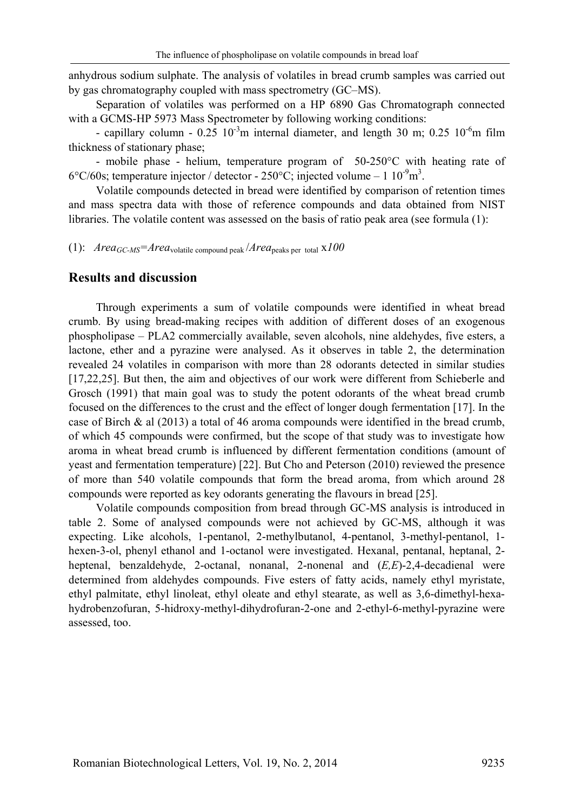anhydrous sodium sulphate. The analysis of volatiles in bread crumb samples was carried out by gas chromatography coupled with mass spectrometry (GC–MS).

Separation of volatiles was performed on a HP 6890 Gas Chromatograph connected with a GCMS-HP 5973 Mass Spectrometer by following working conditions:

- capillary column -  $0.25 \times 10^{-3}$ m internal diameter, and length 30 m;  $0.25 \times 10^{-6}$ m film thickness of stationary phase;

- mobile phase - helium, temperature program of 50-250°C with heating rate of  $6^{\circ}$ C/60s; temperature injector / detector - 250 $^{\circ}$ C; injected volume – 1 10<sup>-9</sup>m<sup>3</sup>.

Volatile compounds detected in bread were identified by comparison of retention times and mass spectra data with those of reference compounds and data obtained from NIST libraries. The volatile content was assessed on the basis of ratio peak area (see formula (1):

(1): *AreaGC-MS=Area*volatile compound peak /*Area*peaks per total x*100*

### **Results and discussion**

Through experiments a sum of volatile compounds were identified in wheat bread crumb. By using bread-making recipes with addition of different doses of an exogenous phospholipase – PLA2 commercially available, seven alcohols, nine aldehydes, five esters, a lactone, ether and a pyrazine were analysed. As it observes in table 2, the determination revealed 24 volatiles in comparison with more than 28 odorants detected in similar studies [17,22,25]. But then, the aim and objectives of our work were different from Schieberle and Grosch (1991) that main goal was to study the potent odorants of the wheat bread crumb focused on the differences to the crust and the effect of longer dough fermentation [17]. In the case of Birch  $\&$  al (2013) a total of 46 aroma compounds were identified in the bread crumb, of which 45 compounds were confirmed, but the scope of that study was to investigate how aroma in wheat bread crumb is influenced by different fermentation conditions (amount of yeast and fermentation temperature) [22]. But Cho and Peterson (2010) reviewed the presence of more than 540 volatile compounds that form the bread aroma, from which around 28 compounds were reported as key odorants generating the flavours in bread [25].

Volatile compounds composition from bread through GC-MS analysis is introduced in table 2. Some of analysed compounds were not achieved by GC-MS, although it was expecting. Like alcohols, 1-pentanol, 2-methylbutanol, 4-pentanol, 3-methyl-pentanol, 1 hexen-3-ol, phenyl ethanol and 1-octanol were investigated. Hexanal, pentanal, heptanal, 2 heptenal, benzaldehyde, 2-octanal, nonanal, 2-nonenal and (*E,E*)-2,4-decadienal were determined from aldehydes compounds. Five esters of fatty acids, namely ethyl myristate, ethyl palmitate, ethyl linoleat, ethyl oleate and ethyl stearate, as well as 3,6-dimethyl-hexahydrobenzofuran, 5-hidroxy-methyl-dihydrofuran-2-one and 2-ethyl-6-methyl-pyrazine were assessed, too.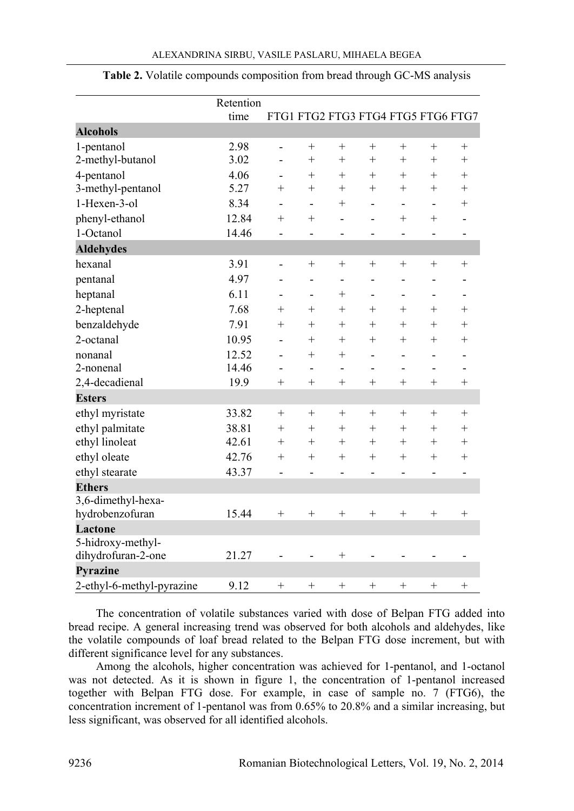|                           | Retention |                          |                                    |                |                |                          |                          |                          |
|---------------------------|-----------|--------------------------|------------------------------------|----------------|----------------|--------------------------|--------------------------|--------------------------|
|                           | time      |                          | FTG1 FTG2 FTG3 FTG4 FTG5 FTG6 FTG7 |                |                |                          |                          |                          |
| <b>Alcohols</b>           |           |                          |                                    |                |                |                          |                          |                          |
| 1-pentanol                | 2.98      | $\overline{a}$           | $^{+}$                             | $+$            | $^{+}$         | $^{+}$                   | $^{+}$                   | $+$                      |
| 2-methyl-butanol          | 3.02      | $\overline{a}$           | $+$                                | $+$            | $+$            | $\ddot{}$                | $\ddot{}$                | $^{+}$                   |
| 4-pentanol                | 4.06      | $\overline{\phantom{m}}$ | $^{+}$                             | $^{+}$         | $^{+}$         | $^{+}$                   | $^{+}$                   | $+$                      |
| 3-methyl-pentanol         | 5.27      | $+$                      | $^{+}$                             | $+$            | $^{+}$         | $^{+}$                   | $+$                      | $^{+}$                   |
| 1-Hexen-3-ol              | 8.34      | $\blacksquare$           | $\overline{\phantom{0}}$           | $+$            | $\overline{a}$ | $\overline{a}$           | $\overline{\phantom{a}}$ | $+$                      |
| phenyl-ethanol            | 12.84     | $^{+}$                   | $^{+}$                             | $\overline{a}$ | $\overline{a}$ | $^{+}$                   | $+$                      | $\overline{a}$           |
| 1-Octanol                 | 14.46     |                          |                                    |                |                |                          |                          |                          |
| <b>Aldehydes</b>          |           |                          |                                    |                |                |                          |                          |                          |
| hexanal                   | 3.91      | $\overline{a}$           | $^{+}$                             | $^{+}$         | $^{+}$         | $^{+}$                   | $^{+}$                   | $+$                      |
| pentanal                  | 4.97      |                          | $\overline{a}$                     | $\overline{a}$ | $\overline{a}$ | $\overline{a}$           |                          | $\overline{a}$           |
| heptanal                  | 6.11      |                          | $\overline{a}$                     | $^{+}$         | $\overline{a}$ | $\overline{\phantom{0}}$ | $\blacksquare$           |                          |
| 2-heptenal                | 7.68      | $^{+}$                   | $^{+}$                             | $^{+}$         | $^{+}$         | $^{+}$                   | $^{+}$                   | $^{+}$                   |
| benzaldehyde              | 7.91      | $\ddot{}$                | $^{+}$                             | $+$            | $^{+}$         | $+$                      | $+$                      | $+$                      |
| 2-octanal                 | 10.95     |                          | $+$                                | $^{+}$         | $^{+}$         | $^{+}$                   | $^{+}$                   | $^{+}$                   |
| nonanal                   | 12.52     |                          | $^{+}$                             | $+$            | L,             | $\overline{a}$           |                          | $\overline{\phantom{0}}$ |
| 2-nonenal                 | 14.46     |                          | $\overline{\phantom{0}}$           | $\overline{a}$ |                |                          |                          |                          |
| 2,4-decadienal            | 19.9      | $^{+}$                   | $^{+}$                             | $+$            | $^{+}$         | $+$                      | $+$                      | $+$                      |
| <b>Esters</b>             |           |                          |                                    |                |                |                          |                          |                          |
| ethyl myristate           | 33.82     | $^{+}$                   | $^{+}$                             | $^{+}$         | $^{+}$         | $^{+}$                   | $+$                      | $^{+}$                   |
| ethyl palmitate           | 38.81     | $+$                      | $+$                                | $+$            | $+$            | $+$                      | $+$                      | $+$                      |
| ethyl linoleat            | 42.61     | $+$                      | $+$                                | $+$            | $^{+}$         | $^{+}$                   | $\ddot{}$                | $+$                      |
| ethyl oleate              | 42.76     | $^{+}$                   | $^{+}$                             | $^{+}$         | $^{+}$         | $^{+}$                   | $+$                      | $+$                      |
| ethyl stearate            | 43.37     |                          |                                    |                |                |                          |                          |                          |
| <b>Ethers</b>             |           |                          |                                    |                |                |                          |                          |                          |
| 3,6-dimethyl-hexa-        |           |                          |                                    |                |                |                          |                          |                          |
| hydrobenzofuran           | 15.44     | $+$                      | $+$                                | $+$            | $+$            | $+$                      | $+$                      | $+$                      |
| Lactone                   |           |                          |                                    |                |                |                          |                          |                          |
| 5-hidroxy-methyl-         |           |                          |                                    |                |                |                          |                          |                          |
| dihydrofuran-2-one        | 21.27     |                          |                                    | $^{+}$         |                |                          |                          |                          |
| <b>Pyrazine</b>           |           |                          |                                    |                |                |                          |                          |                          |
| 2-ethyl-6-methyl-pyrazine | 9.12      | $^{+}$                   | $^{+}$                             | $^{+}$         | $^{+}$         | $^{+}$                   | $^{+}$                   | $^{+}$                   |

|  |  | Table 2. Volatile compounds composition from bread through GC-MS analysis |
|--|--|---------------------------------------------------------------------------|
|  |  |                                                                           |

The concentration of volatile substances varied with dose of Belpan FTG added into bread recipe. A general increasing trend was observed for both alcohols and aldehydes, like the volatile compounds of loaf bread related to the Belpan FTG dose increment, but with different significance level for any substances.

Among the alcohols, higher concentration was achieved for 1-pentanol, and 1-octanol was not detected. As it is shown in figure 1, the concentration of 1-pentanol increased together with Belpan FTG dose. For example, in case of sample no. 7 (FTG6), the concentration increment of 1-pentanol was from 0.65% to 20.8% and a similar increasing, but less significant, was observed for all identified alcohols.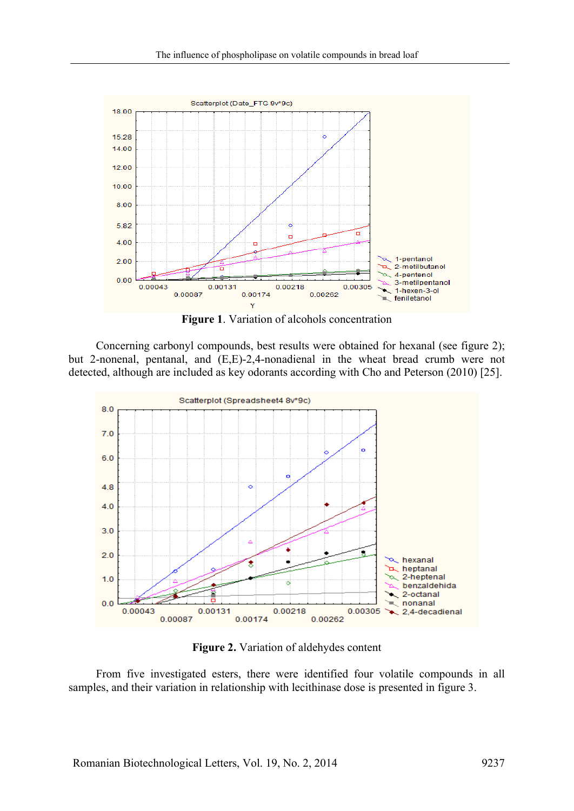

**Figure 1**. Variation of alcohols concentration

Concerning carbonyl compounds, best results were obtained for hexanal (see figure 2); but 2-nonenal, pentanal, and (E,E)-2,4-nonadienal in the wheat bread crumb were not detected, although are included as key odorants according with Cho and Peterson (2010) [25].



**Figure 2.** Variation of aldehydes content

From five investigated esters, there were identified four volatile compounds in all samples, and their variation in relationship with lecithinase dose is presented in figure 3.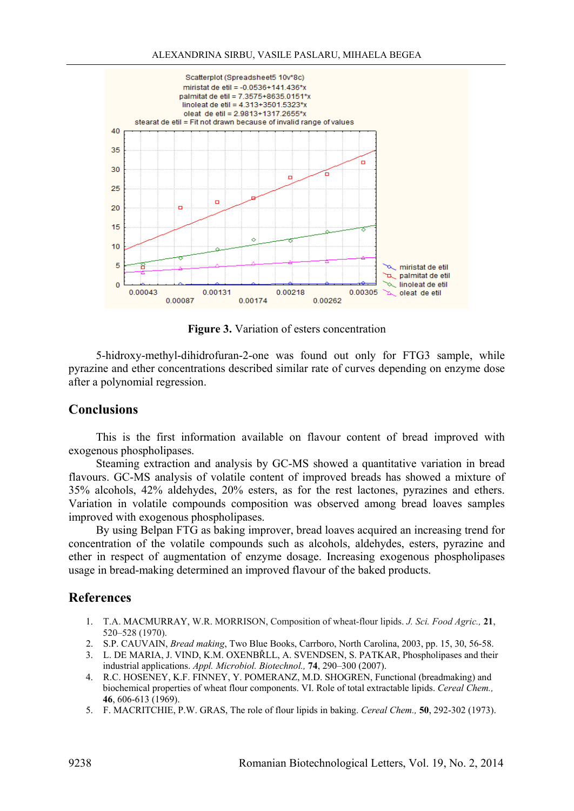

**Figure 3.** Variation of esters concentration

5-hidroxy-methyl-dihidrofuran-2-one was found out only for FTG3 sample, while pyrazine and ether concentrations described similar rate of curves depending on enzyme dose after a polynomial regression.

## **Conclusions**

This is the first information available on flavour content of bread improved with exogenous phospholipases.

Steaming extraction and analysis by GC-MS showed a quantitative variation in bread flavours. GC-MS analysis of volatile content of improved breads has showed a mixture of 35% alcohols, 42% aldehydes, 20% esters, as for the rest lactones, pyrazines and ethers. Variation in volatile compounds composition was observed among bread loaves samples improved with exogenous phospholipases.

By using Belpan FTG as baking improver, bread loaves acquired an increasing trend for concentration of the volatile compounds such as alcohols, aldehydes, esters, pyrazine and ether in respect of augmentation of enzyme dosage. Increasing exogenous phospholipases usage in bread-making determined an improved flavour of the baked products.

## **References**

- 1. T.A. MACMURRAY, W.R. MORRISON, Composition of wheat-flour lipids. *J. Sci. Food Agric.,* **21**, 520–528 (1970).
- 2. S.P. CAUVAIN, *Bread making*, Two Blue Books, Carrboro, North Carolina, 2003, pp. 15, 30, 56-58.
- 3. L. DE MARIA, J. VIND, K.M. OXENBŘLL, A. SVENDSEN, S. PATKAR, Phospholipases and their industrial applications. *Appl. Microbiol. Biotechnol.,* **74**, 290–300 (2007).
- 4. R.C. HOSENEY, K.F. FINNEY, Y. POMERANZ, M.D. SHOGREN, Functional (breadmaking) and biochemical properties of wheat flour components. VI. Role of total extractable lipids. *Cereal Chem.,*  **46**, 606-613 (1969).
- 5. F. MACRITCHIE, P.W. GRAS, The role of flour lipids in baking. *Cereal Chem.,* **50**, 292-302 (1973).